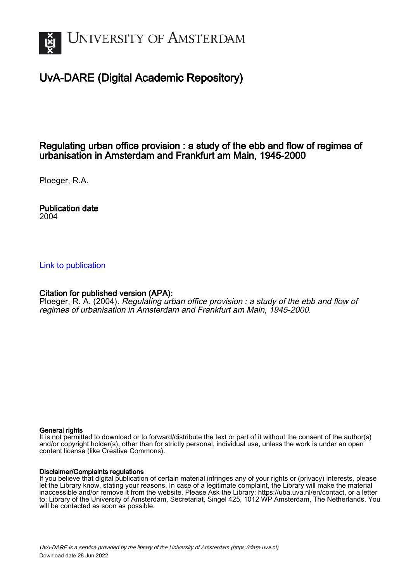

## UvA-DARE (Digital Academic Repository)

### Regulating urban office provision : a study of the ebb and flow of regimes of urbanisation in Amsterdam and Frankfurt am Main, 1945-2000

Ploeger, R.A.

Publication date 2004

#### [Link to publication](https://dare.uva.nl/personal/pure/en/publications/regulating-urban-office-provision--a-study-of-the-ebb-and-flow-of-regimes-of-urbanisation-in-amsterdam-and-frankfurt-am-main-19452000(c4c4f8d0-a359-4f4e-8005-c68c8cd5313b).html)

#### Citation for published version (APA):

Ploeger, R. A. (2004). Regulating urban office provision : a study of the ebb and flow of regimes of urbanisation in Amsterdam and Frankfurt am Main, 1945-2000.

#### General rights

It is not permitted to download or to forward/distribute the text or part of it without the consent of the author(s) and/or copyright holder(s), other than for strictly personal, individual use, unless the work is under an open content license (like Creative Commons).

#### Disclaimer/Complaints regulations

If you believe that digital publication of certain material infringes any of your rights or (privacy) interests, please let the Library know, stating your reasons. In case of a legitimate complaint, the Library will make the material inaccessible and/or remove it from the website. Please Ask the Library: https://uba.uva.nl/en/contact, or a letter to: Library of the University of Amsterdam, Secretariat, Singel 425, 1012 WP Amsterdam, The Netherlands. You will be contacted as soon as possible.